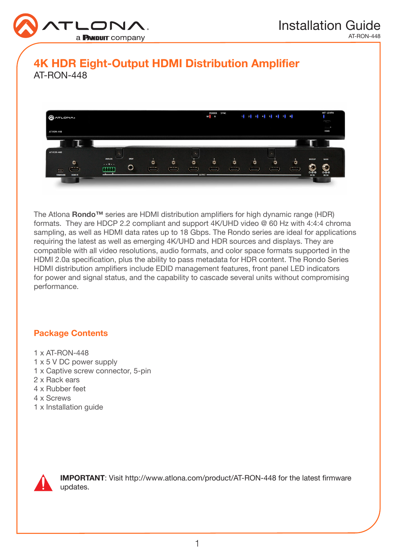

# 4K HDR Eight-Output HDMI Distribution Amplifier AT-RON-448



The Atlona **Rondo™** series are HDMI distribution amplifiers for high dynamic range (HDR) formats. They are HDCP 2.2 compliant and support 4K/UHD video @ 60 Hz with 4:4:4 chroma sampling, as well as HDMI data rates up to 18 Gbps. The Rondo series are ideal for applications requiring the latest as well as emerging 4K/UHD and HDR sources and displays. They are compatible with all video resolutions, audio formats, and color space formats supported in the HDMI 2.0a specification, plus the ability to pass metadata for HDR content. The Rondo Series HDMI distribution amplifiers include EDID management features, front panel LED indicators for power and signal status, and the capability to cascade several units without compromising performance.

## Package Contents

- 1 x AT-RON-448
- 1 x 5 V DC power supply
- 1 x Captive screw connector, 5-pin
- 2 x Rack ears
- 4 x Rubber feet
- 4 x Screws
- 1 x Installation guide



IMPORTANT: Visit http://www.atlona.com/product/AT-RON-448 for the latest firmware updates.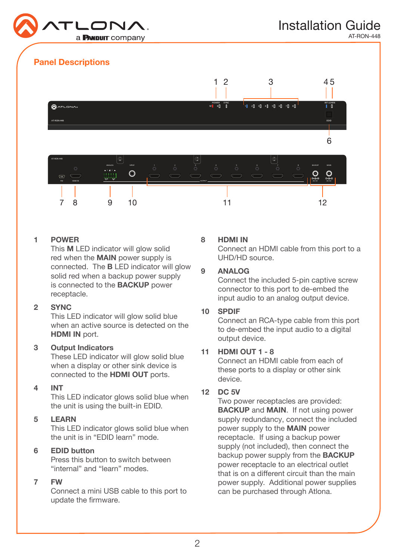

AT-RON-448

# Panel Descriptions



#### 1 POWER

This M LED indicator will glow solid red when the MAIN power supply is connected. The B LED indicator will glow solid red when a backup power supply is connected to the BACKUP power receptacle.

#### 2 SYNC

This LED indicator will glow solid blue when an active source is detected on the HDMI IN port.

#### 3 Output Indicators

These LED indicator will glow solid blue when a display or other sink device is connected to the HDMI OUT ports.

#### 4 INT

This LED indicator glows solid blue when the unit is using the built-in EDID.

#### 5 LEARN

This LED indicator glows solid blue when the unit is in "EDID learn" mode.

## 6 EDID button

Press this button to switch between "internal" and "learn" modes.

#### 7 FW

Connect a mini USB cable to this port to update the firmware.

#### 8 HDMI IN

Connect an HDMI cable from this port to a UHD/HD source.

#### 9 ANALOG

Connect the included 5-pin captive screw connector to this port to de-embed the input audio to an analog output device.

#### 10 SPDIF

Connect an RCA-type cable from this port to de-embed the input audio to a digital output device.

## 11 HDMI OUT 1 - 8

Connect an HDMI cable from each of these ports to a display or other sink device.

#### 12 DC 5V

Two power receptacles are provided: BACKUP and MAIN. If not using power supply redundancy, connect the included power supply to the MAIN power receptacle. If using a backup power supply (not included), then connect the backup power supply from the BACKUP power receptacle to an electrical outlet that is on a different circuit than the main power supply. Additional power supplies can be purchased through Atlona.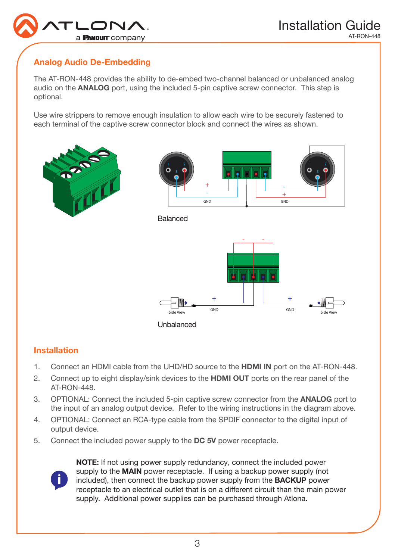

# Analog Audio De-Embedding

The AT-RON-448 provides the ability to de-embed two-channel balanced or unbalanced analog audio on the **ANALOG** port, using the included 5-pin captive screw connector. This step is optional.

Use wire strippers to remove enough insulation to allow each wire to be securely fastened to each terminal of the captive screw connector block and connect the wires as shown.



## Installation

- 1. Connect an HDMI cable from the UHD/HD source to the HDMI IN port on the AT-RON-448.
- 2. Connect up to eight display/sink devices to the **HDMI OUT** ports on the rear panel of the AT-RON-448.
- 3. OPTIONAL: Connect the included 5-pin captive screw connector from the **ANALOG** port to the input of an analog output device. Refer to the wiring instructions in the diagram above.
- 4. OPTIONAL: Connect an RCA-type cable from the SPDIF connector to the digital input of output device.
- 5. Connect the included power supply to the DC 5V power receptacle.



NOTE: If not using power supply redundancy, connect the included power supply to the **MAIN** power receptacle. If using a backup power supply (not included), then connect the backup power supply from the BACKUP power receptacle to an electrical outlet that is on a different circuit than the main power supply. Additional power supplies can be purchased through Atlona.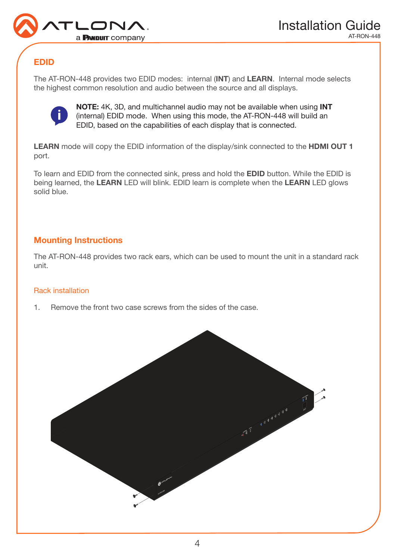

# EDID

The AT-RON-448 provides two EDID modes: internal (INT) and LEARN. Internal mode selects the highest common resolution and audio between the source and all displays.



NOTE: 4K, 3D, and multichannel audio may not be available when using INT (internal) EDID mode. When using this mode, the AT-RON-448 will build an EDID, based on the capabilities of each display that is connected.

LEARN mode will copy the EDID information of the display/sink connected to the HDMI OUT 1 port.

To learn and EDID from the connected sink, press and hold the EDID button. While the EDID is being learned, the LEARN LED will blink. EDID learn is complete when the LEARN LED glows solid blue.

## Mounting Instructions

The AT-RON-448 provides two rack ears, which can be used to mount the unit in a standard rack unit.

## Rack installation

1. Remove the front two case screws from the sides of the case.

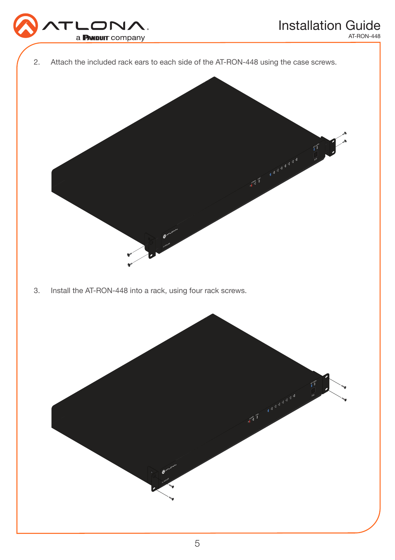

2. Attach the included rack ears to each side of the AT-RON-448 using the case screws.



3. Install the AT-RON-448 into a rack, using four rack screws.

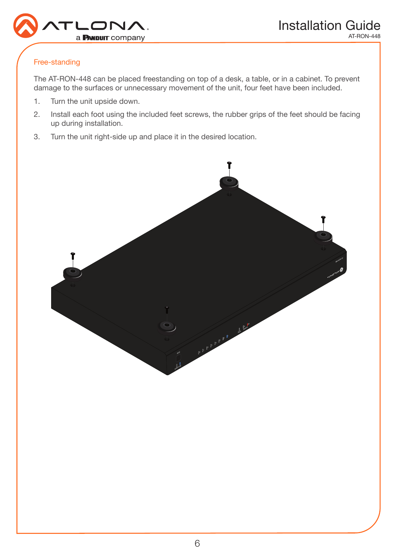

### Free-standing

The AT-RON-448 can be placed freestanding on top of a desk, a table, or in a cabinet. To prevent damage to the surfaces or unnecessary movement of the unit, four feet have been included.

- 1. Turn the unit upside down.
- 2. Install each foot using the included feet screws, the rubber grips of the feet should be facing up during installation.
- 3. Turn the unit right-side up and place it in the desired location.

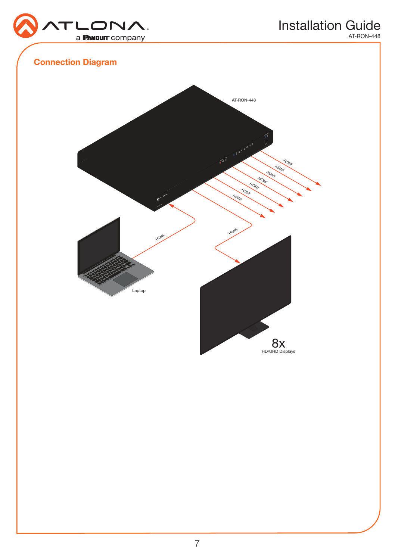